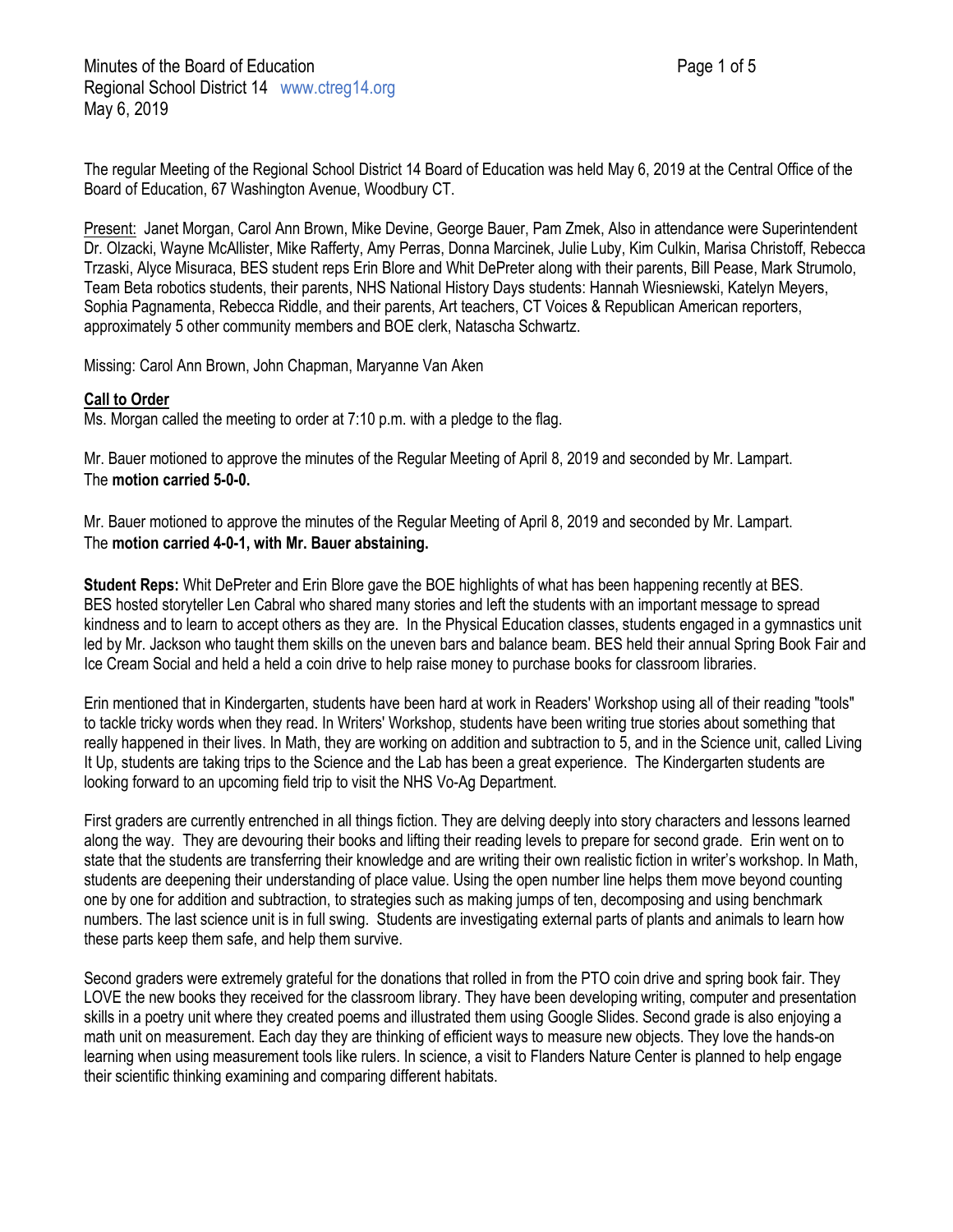The regular Meeting of the Regional School District 14 Board of Education was held May 6, 2019 at the Central Office of the Board of Education, 67 Washington Avenue, Woodbury CT.

Present: Janet Morgan, Carol Ann Brown, Mike Devine, George Bauer, Pam Zmek, Also in attendance were Superintendent Dr. Olzacki, Wayne McAllister, Mike Rafferty, Amy Perras, Donna Marcinek, Julie Luby, Kim Culkin, Marisa Christoff, Rebecca Trzaski, Alyce Misuraca, BES student reps Erin Blore and Whit DePreter along with their parents, Bill Pease, Mark Strumolo, Team Beta robotics students, their parents, NHS National History Days students: Hannah Wiesniewski, Katelyn Meyers, Sophia Pagnamenta, Rebecca Riddle, and their parents, Art teachers, CT Voices & Republican American reporters, approximately 5 other community members and BOE clerk, Natascha Schwartz.

Missing: Carol Ann Brown, John Chapman, Maryanne Van Aken

### **Call to Order**

Ms. Morgan called the meeting to order at 7:10 p.m. with a pledge to the flag.

Mr. Bauer motioned to approve the minutes of the Regular Meeting of April 8, 2019 and seconded by Mr. Lampart. The **motion carried 5-0-0.**

Mr. Bauer motioned to approve the minutes of the Regular Meeting of April 8, 2019 and seconded by Mr. Lampart. The **motion carried 4-0-1, with Mr. Bauer abstaining.**

**Student Reps:** Whit DePreter and Erin Blore gave the BOE highlights of what has been happening recently at BES. BES hosted storyteller Len Cabral who shared many stories and left the students with an important message to spread kindness and to learn to accept others as they are. In the Physical Education classes, students engaged in a gymnastics unit led by Mr. Jackson who taught them skills on the uneven bars and balance beam. BES held their annual Spring Book Fair and Ice Cream Social and held a held a coin drive to help raise money to purchase books for classroom libraries.

Erin mentioned that in Kindergarten, students have been hard at work in Readers' Workshop using all of their reading "tools" to tackle tricky words when they read. In Writers' Workshop, students have been writing true stories about something that really happened in their lives. In Math, they are working on addition and subtraction to 5, and in the Science unit, called Living It Up, students are taking trips to the Science and the Lab has been a great experience. The Kindergarten students are looking forward to an upcoming field trip to visit the NHS Vo-Ag Department.

First graders are currently entrenched in all things fiction. They are delving deeply into story characters and lessons learned along the way. They are devouring their books and lifting their reading levels to prepare for second grade. Erin went on to state that the students are transferring their knowledge and are writing their own realistic fiction in writer's workshop. In Math, students are deepening their understanding of place value. Using the open number line helps them move beyond counting one by one for addition and subtraction, to strategies such as making jumps of ten, decomposing and using benchmark numbers. The last science unit is in full swing. Students are investigating external parts of plants and animals to learn how these parts keep them safe, and help them survive.

Second graders were extremely grateful for the donations that rolled in from the PTO coin drive and spring book fair. They LOVE the new books they received for the classroom library. They have been developing writing, computer and presentation skills in a poetry unit where they created poems and illustrated them using Google Slides. Second grade is also enjoying a math unit on measurement. Each day they are thinking of efficient ways to measure new objects. They love the hands-on learning when using measurement tools like rulers. In science, a visit to Flanders Nature Center is planned to help engage their scientific thinking examining and comparing different habitats.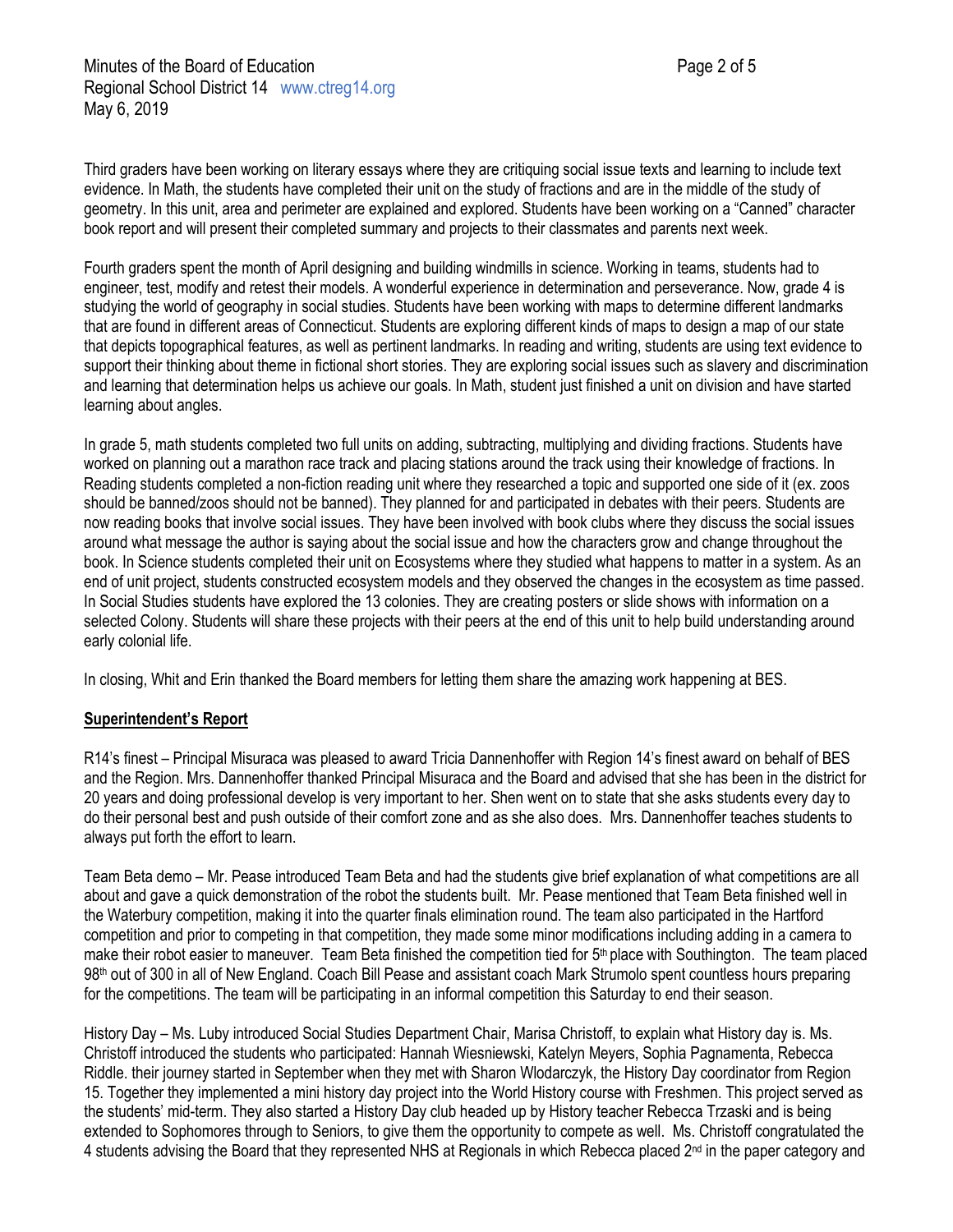Third graders have been working on literary essays where they are critiquing social issue texts and learning to include text evidence. In Math, the students have completed their unit on the study of fractions and are in the middle of the study of geometry. In this unit, area and perimeter are explained and explored. Students have been working on a "Canned" character book report and will present their completed summary and projects to their classmates and parents next week.

Fourth graders spent the month of April designing and building windmills in science. Working in teams, students had to engineer, test, modify and retest their models. A wonderful experience in determination and perseverance. Now, grade 4 is studying the world of geography in social studies. Students have been working with maps to determine different landmarks that are found in different areas of Connecticut. Students are exploring different kinds of maps to design a map of our state that depicts topographical features, as well as pertinent landmarks. In reading and writing, students are using text evidence to support their thinking about theme in fictional short stories. They are exploring social issues such as slavery and discrimination and learning that determination helps us achieve our goals. In Math, student just finished a unit on division and have started learning about angles.

In grade 5, math students completed two full units on adding, subtracting, multiplying and dividing fractions. Students have worked on planning out a marathon race track and placing stations around the track using their knowledge of fractions. In Reading students completed a non-fiction reading unit where they researched a topic and supported one side of it (ex. zoos should be banned/zoos should not be banned). They planned for and participated in debates with their peers. Students are now reading books that involve social issues. They have been involved with book clubs where they discuss the social issues around what message the author is saying about the social issue and how the characters grow and change throughout the book. In Science students completed their unit on Ecosystems where they studied what happens to matter in a system. As an end of unit project, students constructed ecosystem models and they observed the changes in the ecosystem as time passed. In Social Studies students have explored the 13 colonies. They are creating posters or slide shows with information on a selected Colony. Students will share these projects with their peers at the end of this unit to help build understanding around early colonial life.

In closing, Whit and Erin thanked the Board members for letting them share the amazing work happening at BES.

### **Superintendent's Report**

R14's finest – Principal Misuraca was pleased to award Tricia Dannenhoffer with Region 14's finest award on behalf of BES and the Region. Mrs. Dannenhoffer thanked Principal Misuraca and the Board and advised that she has been in the district for 20 years and doing professional develop is very important to her. Shen went on to state that she asks students every day to do their personal best and push outside of their comfort zone and as she also does. Mrs. Dannenhoffer teaches students to always put forth the effort to learn.

Team Beta demo – Mr. Pease introduced Team Beta and had the students give brief explanation of what competitions are all about and gave a quick demonstration of the robot the students built. Mr. Pease mentioned that Team Beta finished well in the Waterbury competition, making it into the quarter finals elimination round. The team also participated in the Hartford competition and prior to competing in that competition, they made some minor modifications including adding in a camera to make their robot easier to maneuver. Team Beta finished the competition tied for 5<sup>th</sup> place with Southington. The team placed 98<sup>th</sup> out of 300 in all of New England. Coach Bill Pease and assistant coach Mark Strumolo spent countless hours preparing for the competitions. The team will be participating in an informal competition this Saturday to end their season.

History Day – Ms. Luby introduced Social Studies Department Chair, Marisa Christoff, to explain what History day is. Ms. Christoff introduced the students who participated: Hannah Wiesniewski, Katelyn Meyers, Sophia Pagnamenta, Rebecca Riddle. their journey started in September when they met with Sharon Wlodarczyk, the History Day coordinator from Region 15. Together they implemented a mini history day project into the World History course with Freshmen. This project served as the students' mid-term. They also started a History Day club headed up by History teacher Rebecca Trzaski and is being extended to Sophomores through to Seniors, to give them the opportunity to compete as well. Ms. Christoff congratulated the 4 students advising the Board that they represented NHS at Regionals in which Rebecca placed 2<sup>nd</sup> in the paper category and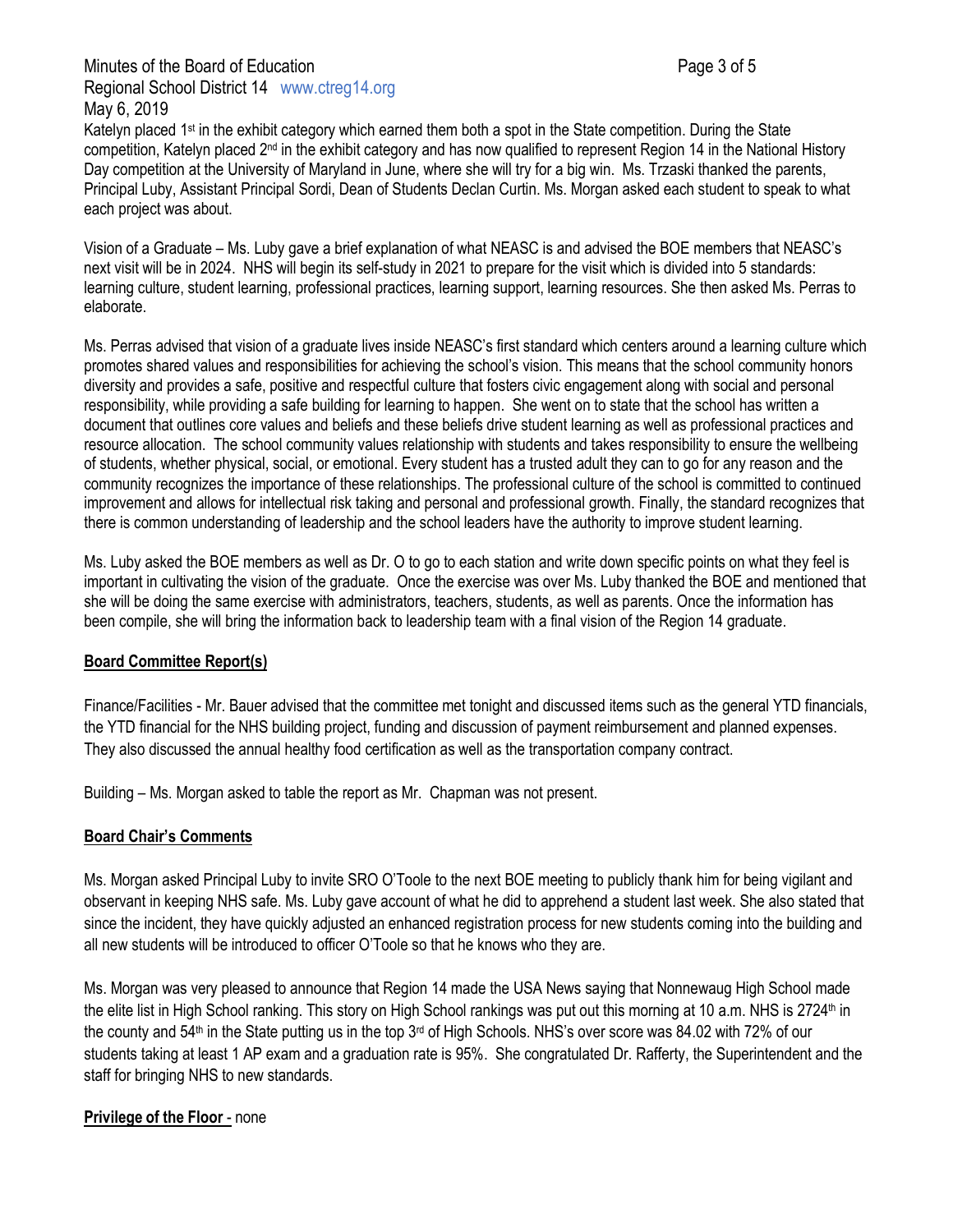# Minutes of the Board of Education **Page 3 of 5** and 2 of 5 Regional School District 14 www.ctreg14.org May 6, 2019

Katelyn placed 1<sup>st</sup> in the exhibit category which earned them both a spot in the State competition. During the State competition, Katelyn placed  $2<sup>nd</sup>$  in the exhibit category and has now qualified to represent Region 14 in the National History Day competition at the University of Maryland in June, where she will try for a big win. Ms. Trzaski thanked the parents, Principal Luby, Assistant Principal Sordi, Dean of Students Declan Curtin. Ms. Morgan asked each student to speak to what each project was about.

Vision of a Graduate – Ms. Luby gave a brief explanation of what NEASC is and advised the BOE members that NEASC's next visit will be in 2024. NHS will begin its self-study in 2021 to prepare for the visit which is divided into 5 standards: learning culture, student learning, professional practices, learning support, learning resources. She then asked Ms. Perras to elaborate.

Ms. Perras advised that vision of a graduate lives inside NEASC's first standard which centers around a learning culture which promotes shared values and responsibilities for achieving the school's vision. This means that the school community honors diversity and provides a safe, positive and respectful culture that fosters civic engagement along with social and personal responsibility, while providing a safe building for learning to happen. She went on to state that the school has written a document that outlines core values and beliefs and these beliefs drive student learning as well as professional practices and resource allocation. The school community values relationship with students and takes responsibility to ensure the wellbeing of students, whether physical, social, or emotional. Every student has a trusted adult they can to go for any reason and the community recognizes the importance of these relationships. The professional culture of the school is committed to continued improvement and allows for intellectual risk taking and personal and professional growth. Finally, the standard recognizes that there is common understanding of leadership and the school leaders have the authority to improve student learning.

Ms. Luby asked the BOE members as well as Dr. O to go to each station and write down specific points on what they feel is important in cultivating the vision of the graduate. Once the exercise was over Ms. Luby thanked the BOE and mentioned that she will be doing the same exercise with administrators, teachers, students, as well as parents. Once the information has been compile, she will bring the information back to leadership team with a final vision of the Region 14 graduate.

### **Board Committee Report(s)**

Finance/Facilities - Mr. Bauer advised that the committee met tonight and discussed items such as the general YTD financials, the YTD financial for the NHS building project, funding and discussion of payment reimbursement and planned expenses. They also discussed the annual healthy food certification as well as the transportation company contract.

Building – Ms. Morgan asked to table the report as Mr. Chapman was not present.

# **Board Chair's Comments**

Ms. Morgan asked Principal Luby to invite SRO O'Toole to the next BOE meeting to publicly thank him for being vigilant and observant in keeping NHS safe. Ms. Luby gave account of what he did to apprehend a student last week. She also stated that since the incident, they have quickly adjusted an enhanced registration process for new students coming into the building and all new students will be introduced to officer O'Toole so that he knows who they are.

Ms. Morgan was very pleased to announce that Region 14 made the USA News saying that Nonnewaug High School made the elite list in High School ranking. This story on High School rankings was put out this morning at 10 a.m. NHS is 2724<sup>th</sup> in the county and 54<sup>th</sup> in the State putting us in the top 3<sup>rd</sup> of High Schools. NHS's over score was 84.02 with 72% of our students taking at least 1 AP exam and a graduation rate is 95%. She congratulated Dr. Rafferty, the Superintendent and the staff for bringing NHS to new standards.

# **Privilege of the Floor** - none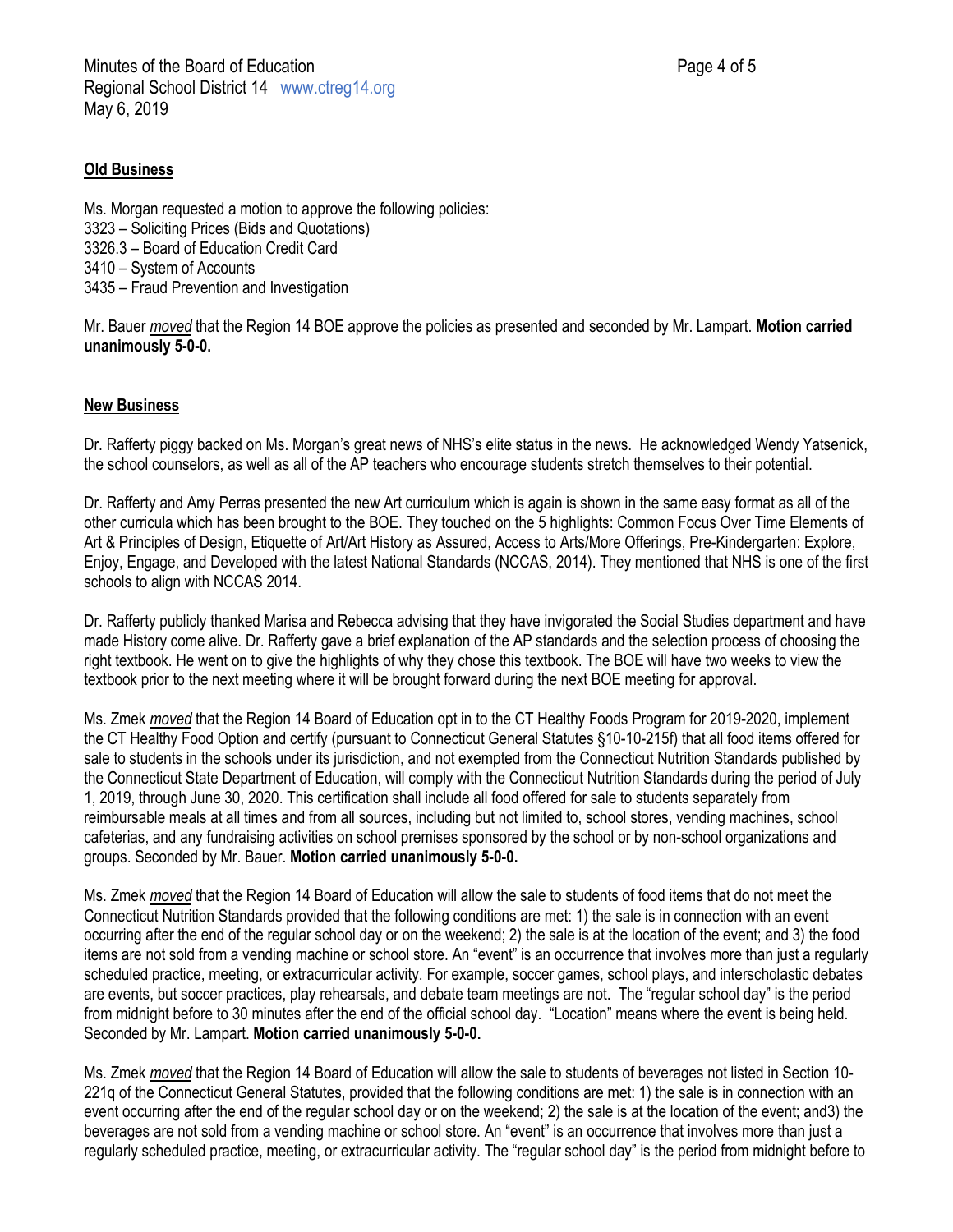### **Old Business**

Ms. Morgan requested a motion to approve the following policies: 3323 – Soliciting Prices (Bids and Quotations) 3326.3 – Board of Education Credit Card 3410 – System of Accounts 3435 – Fraud Prevention and Investigation

Mr. Bauer *moved* that the Region 14 BOE approve the policies as presented and seconded by Mr. Lampart. **Motion carried unanimously 5-0-0.**

### **New Business**

Dr. Rafferty piggy backed on Ms. Morgan's great news of NHS's elite status in the news. He acknowledged Wendy Yatsenick, the school counselors, as well as all of the AP teachers who encourage students stretch themselves to their potential.

Dr. Rafferty and Amy Perras presented the new Art curriculum which is again is shown in the same easy format as all of the other curricula which has been brought to the BOE. They touched on the 5 highlights: Common Focus Over Time Elements of Art & Principles of Design, Etiquette of Art/Art History as Assured, Access to Arts/More Offerings, Pre-Kindergarten: Explore, Enjoy, Engage, and Developed with the latest National Standards (NCCAS, 2014). They mentioned that NHS is one of the first schools to align with NCCAS 2014.

Dr. Rafferty publicly thanked Marisa and Rebecca advising that they have invigorated the Social Studies department and have made History come alive. Dr. Rafferty gave a brief explanation of the AP standards and the selection process of choosing the right textbook. He went on to give the highlights of why they chose this textbook. The BOE will have two weeks to view the textbook prior to the next meeting where it will be brought forward during the next BOE meeting for approval.

Ms. Zmek *moved* that the Region 14 Board of Education opt in to the CT Healthy Foods Program for 2019-2020, implement the CT Healthy Food Option and certify (pursuant to Connecticut General Statutes §10-10-215f) that all food items offered for sale to students in the schools under its jurisdiction, and not exempted from the Connecticut Nutrition Standards published by the Connecticut State Department of Education, will comply with the Connecticut Nutrition Standards during the period of July 1, 2019, through June 30, 2020. This certification shall include all food offered for sale to students separately from reimbursable meals at all times and from all sources, including but not limited to, school stores, vending machines, school cafeterias, and any fundraising activities on school premises sponsored by the school or by non-school organizations and groups. Seconded by Mr. Bauer. **Motion carried unanimously 5-0-0.**

Ms. Zmek *moved* that the Region 14 Board of Education will allow the sale to students of food items that do not meet the Connecticut Nutrition Standards provided that the following conditions are met: 1) the sale is in connection with an event occurring after the end of the regular school day or on the weekend; 2) the sale is at the location of the event; and 3) the food items are not sold from a vending machine or school store. An "event" is an occurrence that involves more than just a regularly scheduled practice, meeting, or extracurricular activity. For example, soccer games, school plays, and interscholastic debates are events, but soccer practices, play rehearsals, and debate team meetings are not. The "regular school day" is the period from midnight before to 30 minutes after the end of the official school day. "Location" means where the event is being held. Seconded by Mr. Lampart. **Motion carried unanimously 5-0-0.**

Ms. Zmek *moved* that the Region 14 Board of Education will allow the sale to students of beverages not listed in Section 10- 221q of the Connecticut General Statutes, provided that the following conditions are met: 1) the sale is in connection with an event occurring after the end of the regular school day or on the weekend; 2) the sale is at the location of the event; and3) the beverages are not sold from a vending machine or school store. An "event" is an occurrence that involves more than just a regularly scheduled practice, meeting, or extracurricular activity. The "regular school day" is the period from midnight before to